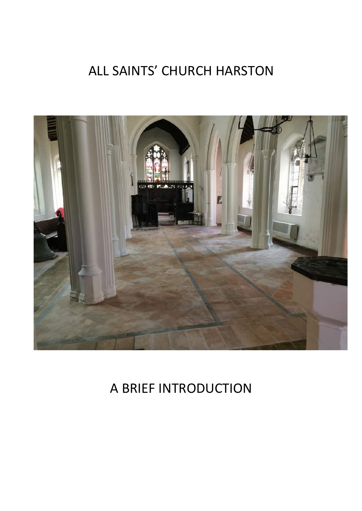# ALL SAINTS' CHURCH HARSTON



# A BRIEF INTRODUCTION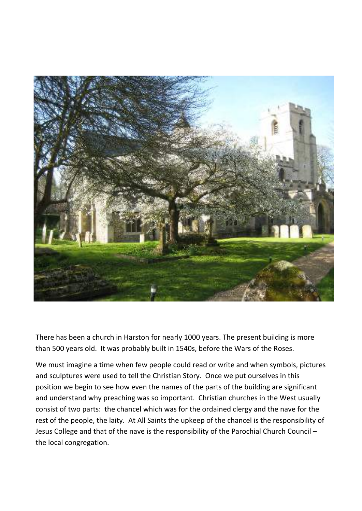

There has been a church in Harston for nearly 1000 years. The present building is more than 500 years old. It was probably built in 1540s, before the Wars of the Roses.

We must imagine a time when few people could read or write and when symbols, pictures and sculptures were used to tell the Christian Story. Once we put ourselves in this position we begin to see how even the names of the parts of the building are significant and understand why preaching was so important. Christian churches in the West usually consist of two parts: the chancel which was for the ordained clergy and the nave for the rest of the people, the laity. At All Saints the upkeep of the chancel is the responsibility of Jesus College and that of the nave is the responsibility of the Parochial Church Council – the local congregation.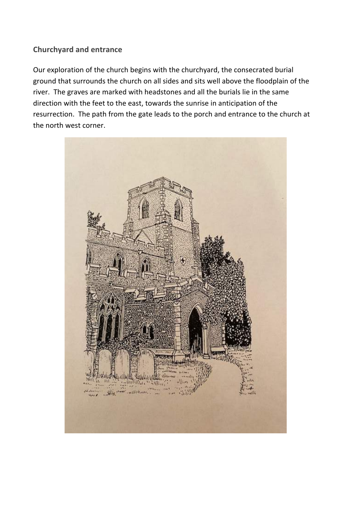## **Churchyard and entrance**

Our exploration of the church begins with the churchyard, the consecrated burial ground that surrounds the church on all sides and sits well above the floodplain of the river. The graves are marked with headstones and all the burials lie in the same direction with the feet to the east, towards the sunrise in anticipation of the resurrection. The path from the gate leads to the porch and entrance to the church at the north west corner.

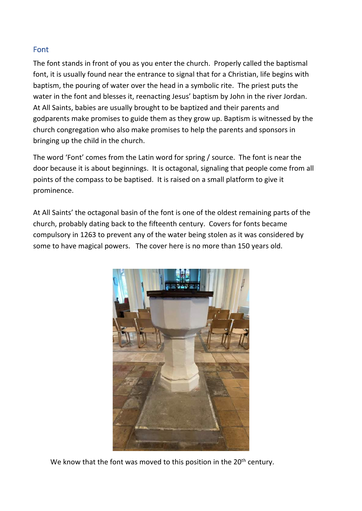# Font

The font stands in front of you as you enter the church. Properly called the baptismal font, it is usually found near the entrance to signal that for a Christian, life begins with baptism, the pouring of water over the head in a symbolic rite. The priest puts the water in the font and blesses it, reenacting Jesus' baptism by John in the river Jordan. At All Saints, babies are usually brought to be baptized and their parents and godparents make promises to guide them as they grow up. Baptism is witnessed by the church congregation who also make promises to help the parents and sponsors in bringing up the child in the church.

The word 'Font' comes from the Latin word for spring / source. The font is near the door because it is about beginnings. It is octagonal, signaling that people come from all points of the compass to be baptised. It is raised on a small platform to give it prominence.

At All Saints' the octagonal basin of the font is one of the oldest remaining parts of the church, probably dating back to the fifteenth century. Covers for fonts became compulsory in 1263 to prevent any of the water being stolen as it was considered by some to have magical powers. The cover here is no more than 150 years old.



We know that the font was moved to this position in the 20<sup>th</sup> century.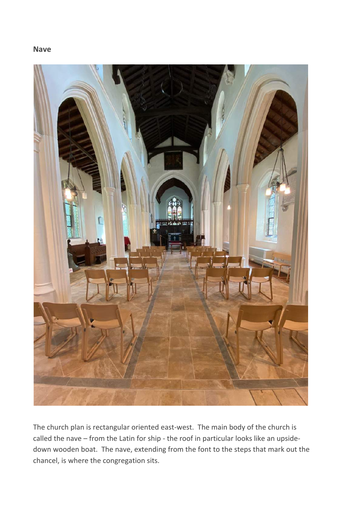#### **Nave**



The church plan is rectangular oriented east-west. The main body of the church is called the nave – from the Latin for ship - the roof in particular looks like an upsidedown wooden boat. The nave, extending from the font to the steps that mark out the chancel, is where the congregation sits.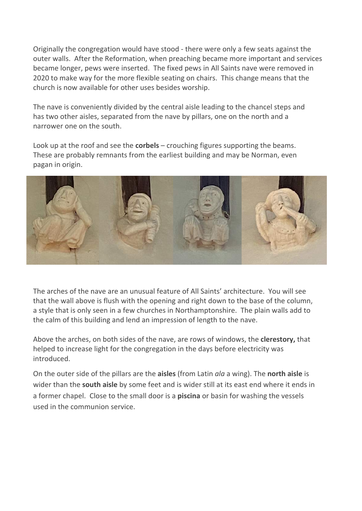Originally the congregation would have stood - there were only a few seats against the outer walls. After the Reformation, when preaching became more important and services became longer, pews were inserted. The fixed pews in All Saints nave were removed in 2020 to make way for the more flexible seating on chairs. This change means that the church is now available for other uses besides worship.

The nave is conveniently divided by the central aisle leading to the chancel steps and has two other aisles, separated from the nave by pillars, one on the north and a narrower one on the south.

Look up at the roof and see the **corbels** – crouching figures supporting the beams. These are probably remnants from the earliest building and may be Norman, even pagan in origin.



The arches of the nave are an unusual feature of All Saints' architecture. You will see that the wall above is flush with the opening and right down to the base of the column, a style that is only seen in a few churches in Northamptonshire. The plain walls add to the calm of this building and lend an impression of length to the nave.

Above the arches, on both sides of the nave, are rows of windows, the **clerestory,** that helped to increase light for the congregation in the days before electricity was introduced.

On the outer side of the pillars are the **aisles** (from Latin *ala* a wing). The **north aisle** is wider than the **south aisle** by some feet and is wider still at its east end where it ends in a former chapel. Close to the small door is a **piscina** or basin for washing the vessels used in the communion service.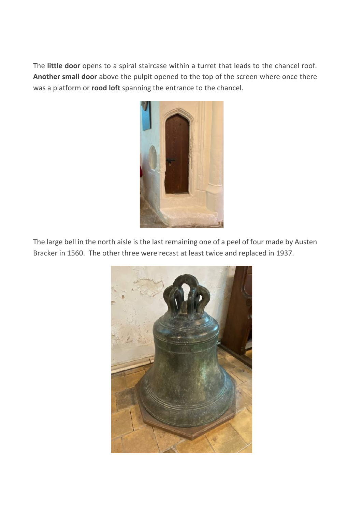The **little door** opens to a spiral staircase within a turret that leads to the chancel roof. **Another small door** above the pulpit opened to the top of the screen where once there was a platform or **rood loft** spanning the entrance to the chancel.



The large bell in the north aisle is the last remaining one of a peel of four made by Austen Bracker in 1560. The other three were recast at least twice and replaced in 1937.

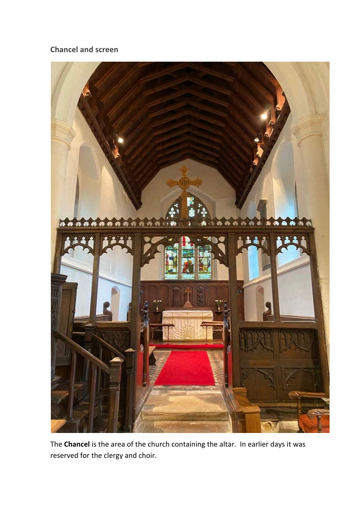# **Chancel and screen**



The **Chancel** is the area of the church containing the altar. In earlier days it was reserved for the clergy and choir.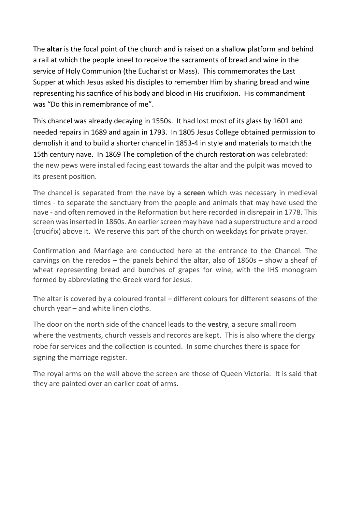The **altar** is the focal point of the church and is raised on a shallow platform and behind a rail at which the people kneel to receive the sacraments of bread and wine in the service of Holy Communion (the Eucharist or Mass). This commemorates the Last Supper at which Jesus asked his disciples to remember Him by sharing bread and wine representing his sacrifice of his body and blood in His crucifixion. His commandment was "Do this in remembrance of me".

This chancel was already decaying in 1550s. It had lost most of its glass by 1601 and needed repairs in 1689 and again in 1793. In 1805 Jesus College obtained permission to demolish it and to build a shorter chancel in 1853-4 in style and materials to match the 15th century nave. In 1869 The completion of the church restoration was celebrated: the new pews were installed facing east towards the altar and the pulpit was moved to its present position.

The chancel is separated from the nave by a **screen** which was necessary in medieval times - to separate the sanctuary from the people and animals that may have used the nave - and often removed in the Reformation but here recorded in disrepair in 1778. This screen was inserted in 1860s. An earlier screen may have had a superstructure and a rood (crucifix) above it. We reserve this part of the church on weekdays for private prayer.

Confirmation and Marriage are conducted here at the entrance to the Chancel. The carvings on the reredos – the panels behind the altar, also of 1860s – show a sheaf of wheat representing bread and bunches of grapes for wine, with the IHS monogram formed by abbreviating the Greek word for Jesus.

The altar is covered by a coloured frontal – different colours for different seasons of the church year – and white linen cloths.

The door on the north side of the chancel leads to the **vestry**, a secure small room where the vestments, church vessels and records are kept. This is also where the clergy robe for services and the collection is counted. In some churches there is space for signing the marriage register.

The royal arms on the wall above the screen are those of Queen Victoria. It is said that they are painted over an earlier coat of arms.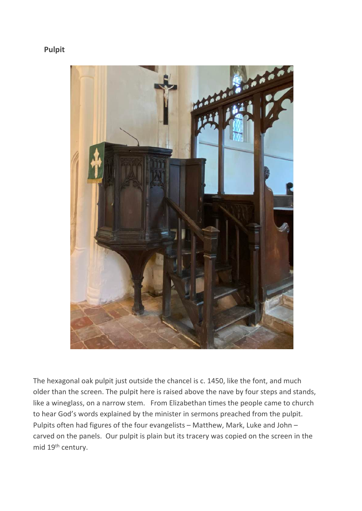#### **Pulpit**



The hexagonal oak pulpit just outside the chancel is c. 1450, like the font, and much older than the screen. The pulpit here is raised above the nave by four steps and stands, like a wineglass, on a narrow stem. From Elizabethan times the people came to church to hear God's words explained by the minister in sermons preached from the pulpit. Pulpits often had figures of the four evangelists – Matthew, Mark, Luke and John – carved on the panels. Our pulpit is plain but its tracery was copied on the screen in the mid 19th century.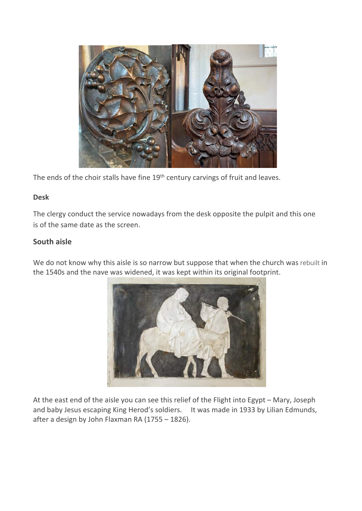

The ends of the choir stalls have fine 19<sup>th</sup> century carvings of fruit and leaves.

#### **Desk**

The clergy conduct the service nowadays from the desk opposite the pulpit and this one is of the same date as the screen.

#### **South aisle**

We do not know why this aisle is so narrow but suppose that when the church was rebuilt in the 1540s and the nave was widened, it was kept within its original footprint.



At the east end of the aisle you can see this relief of the Flight into Egypt – Mary, Joseph and baby Jesus escaping King Herod's soldiers. It was made in 1933 by Lilian Edmunds, after a design by John Flaxman RA (1755 – 1826).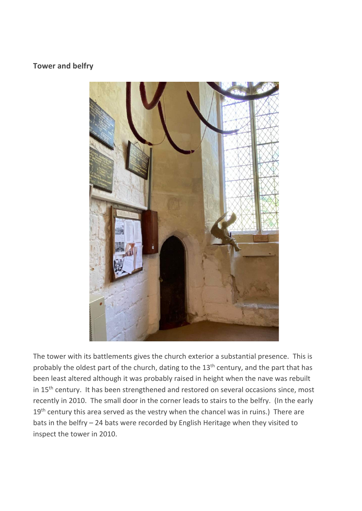#### **Tower and belfry**



The tower with its battlements gives the church exterior a substantial presence. This is probably the oldest part of the church, dating to the 13<sup>th</sup> century, and the part that has been least altered although it was probably raised in height when the nave was rebuilt in 15<sup>th</sup> century. It has been strengthened and restored on several occasions since, most recently in 2010. The small door in the corner leads to stairs to the belfry. (In the early 19<sup>th</sup> century this area served as the vestry when the chancel was in ruins.) There are bats in the belfry – 24 bats were recorded by English Heritage when they visited to inspect the tower in 2010.